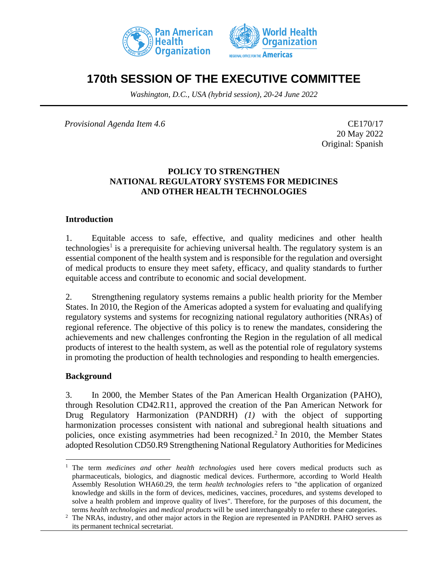



# **170th SESSION OF THE EXECUTIVE COMMITTEE**

*Washington, D.C., USA (hybrid session), 20-24 June 2022*

*Provisional Agenda Item 4.6* CE170/17

20 May 2022 Original: Spanish

### **POLICY TO STRENGTHEN NATIONAL REGULATORY SYSTEMS FOR MEDICINES AND OTHER HEALTH TECHNOLOGIES**

#### **Introduction**

1. Equitable access to safe, effective, and quality medicines and other health technologies<sup>1</sup> is a prerequisite for achieving universal health. The regulatory system is an essential component of the health system and is responsible for the regulation and oversight of medical products to ensure they meet safety, efficacy, and quality standards to further equitable access and contribute to economic and social development.

2. Strengthening regulatory systems remains a public health priority for the Member States. In 2010, the Region of the Americas adopted a system for evaluating and qualifying regulatory systems and systems for recognizing national regulatory authorities (NRAs) of regional reference. The objective of this policy is to renew the mandates, considering the achievements and new challenges confronting the Region in the regulation of all medical products of interest to the health system, as well as the potential role of regulatory systems in promoting the production of health technologies and responding to health emergencies.

### **Background**

3. In 2000, the Member States of the Pan American Health Organization (PAHO), through Resolution CD42.R11, approved the creation of the Pan American Network for Drug Regulatory Harmonization (PANDRH) *(1)* with the object of supporting harmonization processes consistent with national and subregional health situations and policies, once existing asymmetries had been recognized.<sup>2</sup> In 2010, the Member States adopted Resolution CD50.R9 Strengthening National Regulatory Authorities for Medicines

<sup>1</sup> The term *medicines and other health technologies* used here covers medical products such as pharmaceuticals, biologics, and diagnostic medical devices. Furthermore, according to World Health Assembly Resolution WHA60.29, the term *health technologies* refers to "the application of organized knowledge and skills in the form of devices, medicines, vaccines, procedures, and systems developed to solve a health problem and improve quality of lives". Therefore, for the purposes of this document, the terms *health technologies* and *medical products* will be used interchangeably to refer to these categories.

<sup>&</sup>lt;sup>2</sup> The NRAs, industry, and other major actors in the Region are represented in PANDRH. PAHO serves as its permanent technical secretariat.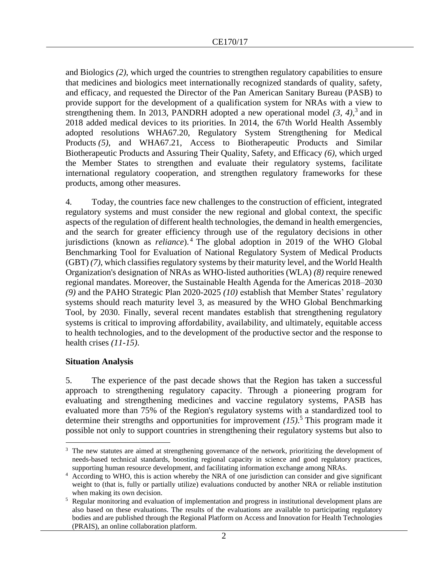and Biologics *(2)*, which urged the countries to strengthen regulatory capabilities to ensure that medicines and biologics meet internationally recognized standards of quality, safety, and efficacy, and requested the Director of the Pan American Sanitary Bureau (PASB) to provide support for the development of a qualification system for NRAs with a view to strengthening them. In 2013, PANDRH adopted a new operational model  $(3, 4)$ ,  $(3, 4)$  and in 2018 added medical devices to its priorities. In 2014, the 67th World Health Assembly adopted resolutions WHA67.20, Regulatory System Strengthening for Medical Products *(5)*, and WHA67.21, Access to Biotherapeutic Products and Similar Biotherapeutic Products and Assuring Their Quality, Safety, and Efficacy *(6)*, which urged the Member States to strengthen and evaluate their regulatory systems, facilitate international regulatory cooperation, and strengthen regulatory frameworks for these products, among other measures.

4. Today, the countries face new challenges to the construction of efficient, integrated regulatory systems and must consider the new regional and global context, the specific aspects of the regulation of different health technologies, the demand in health emergencies, and the search for greater efficiency through use of the regulatory decisions in other jurisdictions (known as *reliance*). <sup>4</sup> The global adoption in 2019 of the WHO Global Benchmarking Tool for Evaluation of National Regulatory System of Medical Products (GBT) *(7)*, which classifies regulatory systems by their maturity level, and the World Health Organization's designation of NRAs as WHO-listed authorities (WLA) *(8)* require renewed regional mandates. Moreover, the Sustainable Health Agenda for the Americas 2018–2030 *(9)* and the PAHO Strategic Plan 2020-2025 *(10)* establish that Member States' regulatory systems should reach maturity level 3, as measured by the WHO Global Benchmarking Tool, by 2030. Finally, several recent mandates establish that strengthening regulatory systems is critical to improving affordability, availability, and ultimately, equitable access to health technologies, and to the development of the productive sector and the response to health crises *(11-15)*.

### **Situation Analysis**

5. The experience of the past decade shows that the Region has taken a successful approach to strengthening regulatory capacity. Through a pioneering program for evaluating and strengthening medicines and vaccine regulatory systems, PASB has evaluated more than 75% of the Region's regulatory systems with a standardized tool to determine their strengths and opportunities for improvement *(15)*. <sup>5</sup> This program made it possible not only to support countries in strengthening their regulatory systems but also to

<sup>&</sup>lt;sup>3</sup> The new statutes are aimed at strengthening governance of the network, prioritizing the development of needs-based technical standards, boosting regional capacity in science and good regulatory practices, supporting human resource development, and facilitating information exchange among NRAs.

<sup>&</sup>lt;sup>4</sup> According to WHO, this is action whereby the NRA of one jurisdiction can consider and give significant weight to (that is, fully or partially utilize) evaluations conducted by another NRA or reliable institution when making its own decision.

<sup>&</sup>lt;sup>5</sup> Regular monitoring and evaluation of implementation and progress in institutional development plans are also based on these evaluations. The results of the evaluations are available to participating regulatory bodies and are published through the Regional Platform on Access and Innovation for Health Technologies (PRAIS), an online collaboration platform.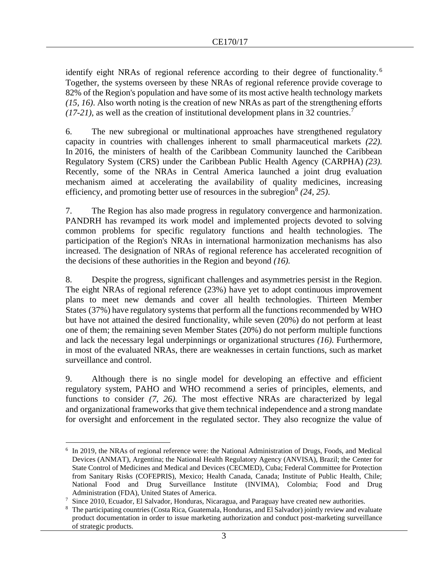identify eight NRAs of regional reference according to their degree of functionality.<sup>6</sup> Together, the systems overseen by these NRAs of regional reference provide coverage to 82% of the Region's population and have some of its most active health technology markets *(15, 16)*. Also worth noting is the creation of new NRAs as part of the strengthening efforts  $(17-21)$ , as well as the creation of institutional development plans in 32 countries.<sup>7</sup>

6. The new subregional or multinational approaches have strengthened regulatory capacity in countries with challenges inherent to small pharmaceutical markets *(22).* In 2016, the ministers of health of the Caribbean Community launched the Caribbean Regulatory System (CRS) under the Caribbean Public Health Agency (CARPHA) *(23).*  Recently, some of the NRAs in Central America launched a joint drug evaluation mechanism aimed at accelerating the availability of quality medicines, increasing efficiency, and promoting better use of resources in the subregion<sup>8</sup> (24, 25).

7. The Region has also made progress in regulatory convergence and harmonization. PANDRH has revamped its work model and implemented projects devoted to solving common problems for specific regulatory functions and health technologies. The participation of the Region's NRAs in international harmonization mechanisms has also increased. The designation of NRAs of regional reference has accelerated recognition of the decisions of these authorities in the Region and beyond *(16).*

8. Despite the progress, significant challenges and asymmetries persist in the Region. The eight NRAs of regional reference (23%) have yet to adopt continuous improvement plans to meet new demands and cover all health technologies. Thirteen Member States (37%) have regulatory systems that perform all the functions recommended by WHO but have not attained the desired functionality, while seven (20%) do not perform at least one of them; the remaining seven Member States (20%) do not perform multiple functions and lack the necessary legal underpinnings or organizational structures *(16).* Furthermore, in most of the evaluated NRAs, there are weaknesses in certain functions, such as market surveillance and control.

9. Although there is no single model for developing an effective and efficient regulatory system, PAHO and WHO recommend a series of principles, elements, and functions to consider *(7, 26).* The most effective NRAs are characterized by legal and organizational frameworks that give them technical independence and a strong mandate for oversight and enforcement in the regulated sector. They also recognize the value of

<sup>&</sup>lt;sup>6</sup> In 2019, the NRAs of regional reference were: the National Administration of Drugs, Foods, and Medical Devices (ANMAT), Argentina; the National Health Regulatory Agency (ANVISA), Brazil; the Center for State Control of Medicines and Medical and Devices (CECMED), Cuba; Federal Committee for Protection from Sanitary Risks (COFEPRIS), Mexico; Health Canada, Canada; Institute of Public Health, Chile; National Food and Drug Surveillance Institute (INVIMA), Colombia; Food and Drug Administration (FDA), United States of America.

<sup>&</sup>lt;sup>7</sup> Since 2010, Ecuador, El Salvador, Honduras, Nicaragua, and Paraguay have created new authorities.

<sup>8</sup> The participating countries (Costa Rica, Guatemala, Honduras, and El Salvador) jointly review and evaluate product documentation in order to issue marketing authorization and conduct post-marketing surveillance of strategic products.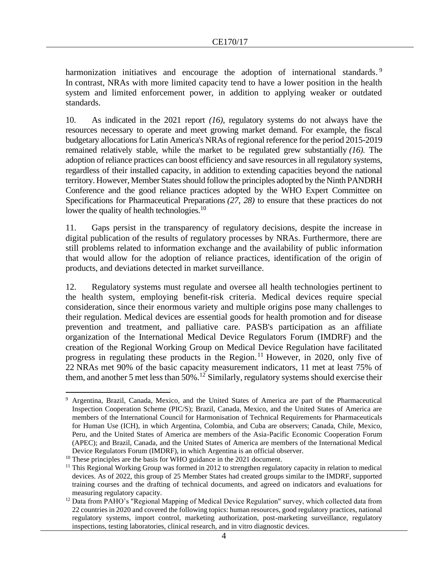harmonization initiatives and encourage the adoption of international standards.<sup>9</sup> In contrast, NRAs with more limited capacity tend to have a lower position in the health system and limited enforcement power, in addition to applying weaker or outdated standards.

10. As indicated in the 2021 report *(16)*, regulatory systems do not always have the resources necessary to operate and meet growing market demand. For example, the fiscal budgetary allocations for Latin America's NRAs of regional reference for the period 2015-2019 remained relatively stable, while the market to be regulated grew substantially *(16).* The adoption of reliance practices can boost efficiency and save resources in all regulatory systems, regardless of their installed capacity, in addition to extending capacities beyond the national territory. However, Member States should follow the principles adopted by the Ninth PANDRH Conference and the good reliance practices adopted by the WHO Expert Committee on Specifications for Pharmaceutical Preparations *(27, 28)* to ensure that these practices do not lower the quality of health technologies.<sup>10</sup>

11. Gaps persist in the transparency of regulatory decisions, despite the increase in digital publication of the results of regulatory processes by NRAs. Furthermore, there are still problems related to information exchange and the availability of public information that would allow for the adoption of reliance practices, identification of the origin of products, and deviations detected in market surveillance.

12. Regulatory systems must regulate and oversee all health technologies pertinent to the health system, employing benefit-risk criteria. Medical devices require special consideration, since their enormous variety and multiple origins pose many challenges to their regulation. Medical devices are essential goods for health promotion and for disease prevention and treatment, and palliative care. PASB's participation as an affiliate organization of the International Medical Device Regulators Forum (IMDRF) and the creation of the Regional Working Group on Medical Device Regulation have facilitated progress in regulating these products in the Region.<sup>11</sup> However, in 2020, only five of 22 NRAs met 90% of the basic capacity measurement indicators, 11 met at least 75% of them, and another 5 met less than 50%.<sup>12</sup> Similarly, regulatory systems should exercise their

Argentina, Brazil, Canada, Mexico, and the United States of America are part of the Pharmaceutical Inspection Cooperation Scheme (PIC/S); Brazil, Canada, Mexico, and the United States of America are members of the International Council for Harmonisation of Technical Requirements for Pharmaceuticals for Human Use (ICH), in which Argentina, Colombia, and Cuba are observers; Canada, Chile, Mexico, Peru, and the United States of America are members of the Asia-Pacific Economic Cooperation Forum (APEC); and Brazil, Canada, and the United States of America are members of the International Medical Device Regulators Forum (IMDRF), in which Argentina is an official observer.

<sup>&</sup>lt;sup>10</sup> These principles are the basis for WHO guidance in the 2021 document.

 $11$  This Regional Working Group was formed in 2012 to strengthen regulatory capacity in relation to medical devices. As of 2022, this group of 25 Member States had created groups similar to the IMDRF, supported training courses and the drafting of technical documents, and agreed on indicators and evaluations for measuring regulatory capacity.

<sup>&</sup>lt;sup>12</sup> Data from PAHO's "Regional Mapping of Medical Device Regulation" survey, which collected data from 22 countries in 2020 and covered the following topics: human resources, good regulatory practices, national regulatory systems, import control, marketing authorization, post-marketing surveillance, regulatory inspections, testing laboratories, clinical research, and in vitro diagnostic devices.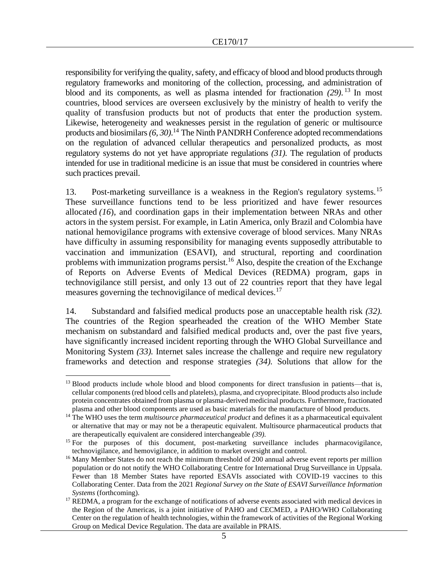responsibility for verifying the quality, safety, and efficacy of blood and blood products through regulatory frameworks and monitoring of the collection, processing, and administration of blood and its components, as well as plasma intended for fractionation *(29)*. <sup>13</sup> In most countries, blood services are overseen exclusively by the ministry of health to verify the quality of transfusion products but not of products that enter the production system. Likewise, heterogeneity and weaknesses persist in the regulation of generic or multisource products and biosimilars *(6, 30)*. <sup>14</sup> The Ninth PANDRH Conference adopted recommendations on the regulation of advanced cellular therapeutics and personalized products, as most regulatory systems do not yet have appropriate regulations *(31).* The regulation of products intended for use in traditional medicine is an issue that must be considered in countries where such practices prevail.

13. Post-marketing surveillance is a weakness in the Region's regulatory systems.<sup>15</sup> These surveillance functions tend to be less prioritized and have fewer resources allocated *(16*), and coordination gaps in their implementation between NRAs and other actors in the system persist. For example, in Latin America, only Brazil and Colombia have national hemovigilance programs with extensive coverage of blood services. Many NRAs have difficulty in assuming responsibility for managing events supposedly attributable to vaccination and immunization (ESAVI), and structural, reporting and coordination problems with immunization programs persist.<sup>16</sup> Also, despite the creation of the Exchange of Reports on Adverse Events of Medical Devices (REDMA) program, gaps in technovigilance still persist, and only 13 out of 22 countries report that they have legal measures governing the technovigilance of medical devices.<sup>17</sup>

14. Substandard and falsified medical products pose an unacceptable health risk *(32).*  The countries of the Region spearheaded the creation of the WHO Member State mechanism on substandard and falsified medical products and, over the past five years, have significantly increased incident reporting through the WHO Global Surveillance and Monitoring System *(33).* Internet sales increase the challenge and require new regulatory frameworks and detection and response strategies *(34).* Solutions that allow for the

<sup>&</sup>lt;sup>13</sup> Blood products include whole blood and blood components for direct transfusion in patients—that is, cellular components (red blood cells and platelets), plasma, and cryoprecipitate. Blood products also include protein concentrates obtained from plasma or plasma-derived medicinal products. Furthermore, fractionated plasma and other blood components are used as basic materials for the manufacture of blood products.

<sup>&</sup>lt;sup>14</sup> The WHO uses the term *multisource pharmaceutical product* and defines it as a pharmaceutical equivalent or alternative that may or may not be a therapeutic equivalent. Multisource pharmaceutical products that are therapeutically equivalent are considered interchangeable *(39).*

<sup>&</sup>lt;sup>15</sup> For the purposes of this document, post-marketing surveillance includes pharmacovigilance, technovigilance, and hemovigilance, in addition to market oversight and control.

<sup>&</sup>lt;sup>16</sup> Many Member States do not reach the minimum threshold of 200 annual adverse event reports per million population or do not notify the WHO Collaborating Centre for International Drug Surveillance in Uppsala. Fewer than 18 Member States have reported ESAVIs associated with COVID-19 vaccines to this Collaborating Center. Data from the 2021 *Regional Survey on the State of ESAVI Surveillance Information Systems* (forthcoming).

REDMA, a program for the exchange of notifications of adverse events associated with medical devices in the Region of the Americas, is a joint initiative of PAHO and CECMED, a PAHO/WHO Collaborating Center on the regulation of health technologies, within the framework of activities of the Regional Working Group on Medical Device Regulation. The data are available in PRAIS.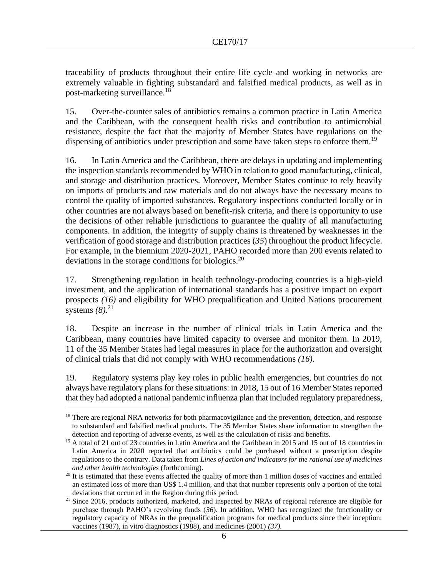traceability of products throughout their entire life cycle and working in networks are extremely valuable in fighting substandard and falsified medical products, as well as in post-marketing surveillance.<sup>18</sup>

15. Over-the-counter sales of antibiotics remains a common practice in Latin America and the Caribbean, with the consequent health risks and contribution to antimicrobial resistance, despite the fact that the majority of Member States have regulations on the dispensing of antibiotics under prescription and some have taken steps to enforce them.<sup>19</sup>

16. In Latin America and the Caribbean, there are delays in updating and implementing the inspection standards recommended by WHO in relation to good manufacturing, clinical, and storage and distribution practices. Moreover, Member States continue to rely heavily on imports of products and raw materials and do not always have the necessary means to control the quality of imported substances. Regulatory inspections conducted locally or in other countries are not always based on benefit-risk criteria, and there is opportunity to use the decisions of other reliable jurisdictions to guarantee the quality of all manufacturing components. In addition, the integrity of supply chains is threatened by weaknesses in the verification of good storage and distribution practices (*35*) throughout the product lifecycle. For example, in the biennium 2020-2021, PAHO recorded more than 200 events related to deviations in the storage conditions for biologics.<sup>20</sup>

17. Strengthening regulation in health technology-producing countries is a high-yield investment, and the application of international standards has a positive impact on export prospects *(16)* and eligibility for WHO prequalification and United Nations procurement systems *(8).*<sup>21</sup>

18. Despite an increase in the number of clinical trials in Latin America and the Caribbean, many countries have limited capacity to oversee and monitor them. In 2019, 11 of the 35 Member States had legal measures in place for the authorization and oversight of clinical trials that did not comply with WHO recommendations *(16).*

19. Regulatory systems play key roles in public health emergencies, but countries do not always have regulatory plans for these situations: in 2018, 15 out of 16 Member States reported that they had adopted a national pandemic influenza plan that included regulatory preparedness,

<sup>&</sup>lt;sup>18</sup> There are regional NRA networks for both pharmacovigilance and the prevention, detection, and response to substandard and falsified medical products. The 35 Member States share information to strengthen the detection and reporting of adverse events, as well as the calculation of risks and benefits.

<sup>&</sup>lt;sup>19</sup> A total of 21 out of 23 countries in Latin America and the Caribbean in 2015 and 15 out of 18 countries in Latin America in 2020 reported that antibiotics could be purchased without a prescription despite regulations to the contrary. Data taken from *Lines of action and indicators for the rational use of medicines and other health technologies* (forthcoming).

 $20$  It is estimated that these events affected the quality of more than 1 million doses of vaccines and entailed an estimated loss of more than US\$ 1.4 million, and that that number represents only a portion of the total deviations that occurred in the Region during this period.

<sup>&</sup>lt;sup>21</sup> Since 2016, products authorized, marketed, and inspected by NRAs of regional reference are eligible for purchase through PAHO's revolving funds (*36*). In addition, WHO has recognized the functionality or regulatory capacity of NRAs in the prequalification programs for medical products since their inception: vaccines (1987), in vitro diagnostics (1988), and medicines (2001) *(37).*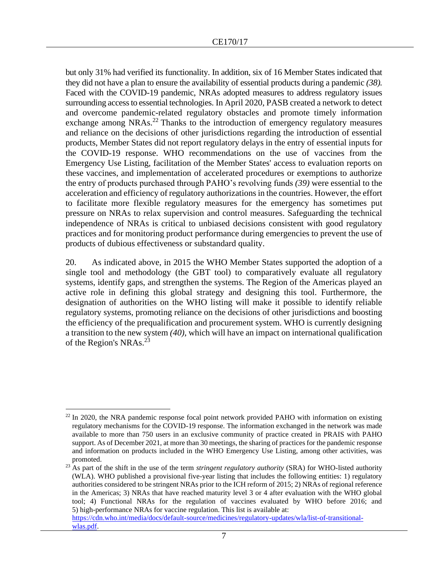but only 31% had verified its functionality. In addition, six of 16 Member States indicated that they did not have a plan to ensure the availability of essential products during a pandemic *(38).* Faced with the COVID-19 pandemic, NRAs adopted measures to address regulatory issues surrounding access to essential technologies. In April 2020, PASB created a network to detect and overcome pandemic-related regulatory obstacles and promote timely information exchange among NRAs.<sup>22</sup> Thanks to the introduction of emergency regulatory measures and reliance on the decisions of other jurisdictions regarding the introduction of essential products, Member States did not report regulatory delays in the entry of essential inputs for the COVID-19 response. WHO recommendations on the use of vaccines from the Emergency Use Listing, facilitation of the Member States' access to evaluation reports on these vaccines, and implementation of accelerated procedures or exemptions to authorize the entry of products purchased through PAHO's revolving funds *(39)* were essential to the acceleration and efficiency of regulatory authorizations in the countries. However, the effort to facilitate more flexible regulatory measures for the emergency has sometimes put pressure on NRAs to relax supervision and control measures. Safeguarding the technical independence of NRAs is critical to unbiased decisions consistent with good regulatory practices and for monitoring product performance during emergencies to prevent the use of products of dubious effectiveness or substandard quality.

20. As indicated above, in 2015 the WHO Member States supported the adoption of a single tool and methodology (the GBT tool) to comparatively evaluate all regulatory systems, identify gaps, and strengthen the systems. The Region of the Americas played an active role in defining this global strategy and designing this tool. Furthermore, the designation of authorities on the WHO listing will make it possible to identify reliable regulatory systems, promoting reliance on the decisions of other jurisdictions and boosting the efficiency of the prequalification and procurement system. WHO is currently designing a transition to the new system *(40)*, which will have an impact on international qualification of the Region's NRAs.<sup>23</sup>

 $^{22}$  In 2020, the NRA pandemic response focal point network provided PAHO with information on existing regulatory mechanisms for the COVID-19 response. The information exchanged in the network was made available to more than 750 users in an exclusive community of practice created in PRAIS with PAHO support. As of December 2021, at more than 30 meetings, the sharing of practices for the pandemic response and information on products included in the WHO Emergency Use Listing, among other activities, was promoted.

<sup>&</sup>lt;sup>23</sup> As part of the shift in the use of the term *stringent regulatory authority* (SRA) for WHO-listed authority (WLA). WHO published a provisional five-year listing that includes the following entities: 1) regulatory authorities considered to be stringent NRAs prior to the ICH reform of 2015; 2) NRAs of regional reference in the Americas; 3) NRAs that have reached maturity level 3 or 4 after evaluation with the WHO global tool; 4) Functional NRAs for the regulation of vaccines evaluated by WHO before 2016; and 5) high-performance NRAs for vaccine regulation. This list is available at:

[https://cdn.who.int/media/docs/default-source/medicines/regulatory-updates/wla/list-of-transitional](https://cdn.who.int/media/docs/default-source/medicines/regulatory-updates/wla/list-of-transitional-wlas.pdf)[wlas.pdf.](https://cdn.who.int/media/docs/default-source/medicines/regulatory-updates/wla/list-of-transitional-wlas.pdf)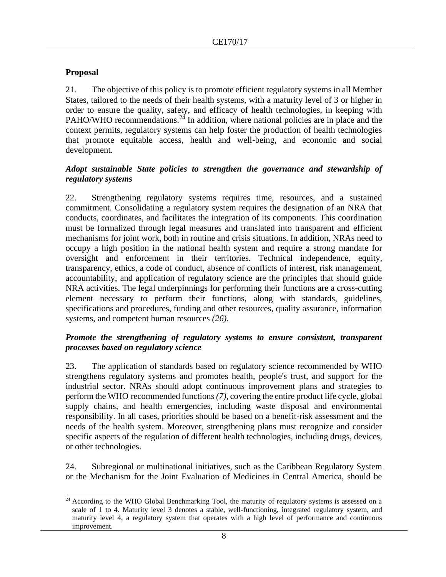## **Proposal**

21. The objective of this policy is to promote efficient regulatory systems in all Member States, tailored to the needs of their health systems, with a maturity level of 3 or higher in order to ensure the quality, safety, and efficacy of health technologies, in keeping with PAHO/WHO recommendations.<sup>24</sup> In addition, where national policies are in place and the context permits, regulatory systems can help foster the production of health technologies that promote equitable access, health and well-being, and economic and social development.

### *Adopt sustainable State policies to strengthen the governance and stewardship of regulatory systems*

22. Strengthening regulatory systems requires time, resources, and a sustained commitment. Consolidating a regulatory system requires the designation of an NRA that conducts, coordinates, and facilitates the integration of its components. This coordination must be formalized through legal measures and translated into transparent and efficient mechanisms for joint work, both in routine and crisis situations. In addition, NRAs need to occupy a high position in the national health system and require a strong mandate for oversight and enforcement in their territories. Technical independence, equity, transparency, ethics, a code of conduct, absence of conflicts of interest, risk management, accountability, and application of regulatory science are the principles that should guide NRA activities. The legal underpinnings for performing their functions are a cross-cutting element necessary to perform their functions, along with standards, guidelines, specifications and procedures, funding and other resources, quality assurance, information systems, and competent human resources *(26)*.

### *Promote the strengthening of regulatory systems to ensure consistent, transparent processes based on regulatory science*

23. The application of standards based on regulatory science recommended by WHO strengthens regulatory systems and promotes health, people's trust, and support for the industrial sector. NRAs should adopt continuous improvement plans and strategies to perform the WHO recommended functions *(7)*, covering the entire product life cycle, global supply chains, and health emergencies, including waste disposal and environmental responsibility. In all cases, priorities should be based on a benefit-risk assessment and the needs of the health system. Moreover, strengthening plans must recognize and consider specific aspects of the regulation of different health technologies, including drugs, devices, or other technologies.

24. Subregional or multinational initiatives, such as the Caribbean Regulatory System or the Mechanism for the Joint Evaluation of Medicines in Central America, should be

<sup>&</sup>lt;sup>24</sup> According to the WHO Global Benchmarking Tool, the maturity of regulatory systems is assessed on a scale of 1 to 4. Maturity level 3 denotes a stable, well-functioning, integrated regulatory system, and maturity level 4, a regulatory system that operates with a high level of performance and continuous improvement.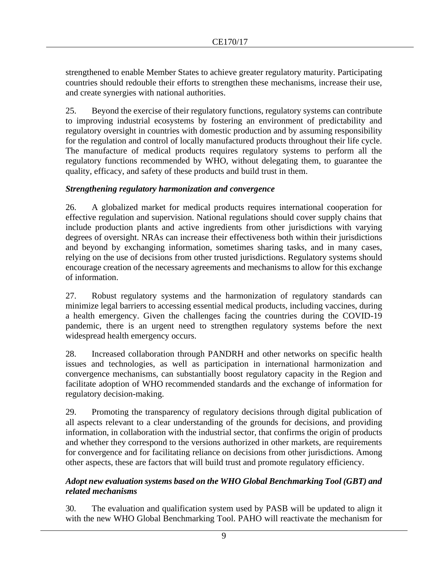strengthened to enable Member States to achieve greater regulatory maturity. Participating countries should redouble their efforts to strengthen these mechanisms, increase their use, and create synergies with national authorities.

25. Beyond the exercise of their regulatory functions, regulatory systems can contribute to improving industrial ecosystems by fostering an environment of predictability and regulatory oversight in countries with domestic production and by assuming responsibility for the regulation and control of locally manufactured products throughout their life cycle. The manufacture of medical products requires regulatory systems to perform all the regulatory functions recommended by WHO, without delegating them, to guarantee the quality, efficacy, and safety of these products and build trust in them.

## *Strengthening regulatory harmonization and convergence*

26. A globalized market for medical products requires international cooperation for effective regulation and supervision. National regulations should cover supply chains that include production plants and active ingredients from other jurisdictions with varying degrees of oversight. NRAs can increase their effectiveness both within their jurisdictions and beyond by exchanging information, sometimes sharing tasks, and in many cases, relying on the use of decisions from other trusted jurisdictions. Regulatory systems should encourage creation of the necessary agreements and mechanisms to allow for this exchange of information.

27. Robust regulatory systems and the harmonization of regulatory standards can minimize legal barriers to accessing essential medical products, including vaccines, during a health emergency. Given the challenges facing the countries during the COVID-19 pandemic, there is an urgent need to strengthen regulatory systems before the next widespread health emergency occurs.

28. Increased collaboration through PANDRH and other networks on specific health issues and technologies, as well as participation in international harmonization and convergence mechanisms, can substantially boost regulatory capacity in the Region and facilitate adoption of WHO recommended standards and the exchange of information for regulatory decision-making.

29. Promoting the transparency of regulatory decisions through digital publication of all aspects relevant to a clear understanding of the grounds for decisions, and providing information, in collaboration with the industrial sector, that confirms the origin of products and whether they correspond to the versions authorized in other markets, are requirements for convergence and for facilitating reliance on decisions from other jurisdictions. Among other aspects, these are factors that will build trust and promote regulatory efficiency.

## *Adopt new evaluation systems based on the WHO Global Benchmarking Tool (GBT) and related mechanisms*

30. The evaluation and qualification system used by PASB will be updated to align it with the new WHO Global Benchmarking Tool. PAHO will reactivate the mechanism for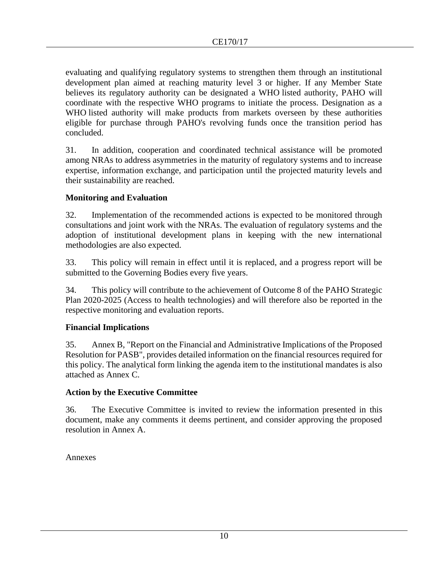evaluating and qualifying regulatory systems to strengthen them through an institutional development plan aimed at reaching maturity level 3 or higher. If any Member State believes its regulatory authority can be designated a WHO listed authority, PAHO will coordinate with the respective WHO programs to initiate the process. Designation as a WHO listed authority will make products from markets overseen by these authorities eligible for purchase through PAHO's revolving funds once the transition period has concluded.

31. In addition, cooperation and coordinated technical assistance will be promoted among NRAs to address asymmetries in the maturity of regulatory systems and to increase expertise, information exchange, and participation until the projected maturity levels and their sustainability are reached.

## **Monitoring and Evaluation**

32. Implementation of the recommended actions is expected to be monitored through consultations and joint work with the NRAs. The evaluation of regulatory systems and the adoption of institutional development plans in keeping with the new international methodologies are also expected.

33. This policy will remain in effect until it is replaced, and a progress report will be submitted to the Governing Bodies every five years.

34. This policy will contribute to the achievement of Outcome 8 of the PAHO Strategic Plan 2020-2025 (Access to health technologies) and will therefore also be reported in the respective monitoring and evaluation reports.

## **Financial Implications**

35. Annex B, "Report on the Financial and Administrative Implications of the Proposed Resolution for PASB", provides detailed information on the financial resources required for this policy. The analytical form linking the agenda item to the institutional mandates is also attached as Annex C.

### **Action by the Executive Committee**

36. The Executive Committee is invited to review the information presented in this document, make any comments it deems pertinent, and consider approving the proposed resolution in Annex A.

Annexes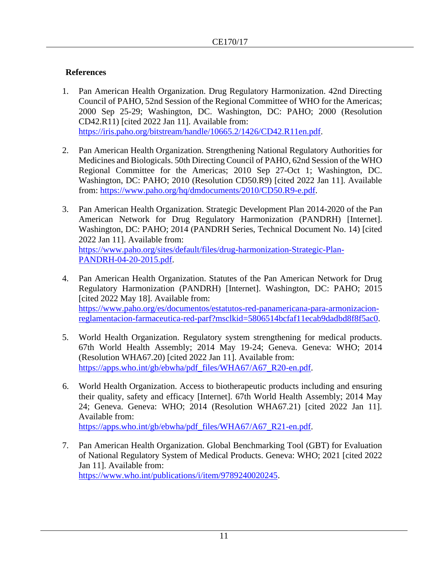## **References**

- 1. Pan American Health Organization. Drug Regulatory Harmonization. 42nd Directing Council of PAHO, 52nd Session of the Regional Committee of WHO for the Americas; 2000 Sep 25-29; Washington, DC. Washington, DC: PAHO; 2000 (Resolution CD42.R11) [cited 2022 Jan 11]. Available from: [https://iris.paho.org/bitstream/handle/10665.2/1426/CD42.R11en.pdf.](https://iris.paho.org/bitstream/handle/10665.2/1426/CD42.R11en.pdf)
- 2. Pan American Health Organization. Strengthening National Regulatory Authorities for Medicines and Biologicals. 50th Directing Council of PAHO, 62nd Session of the WHO Regional Committee for the Americas; 2010 Sep 27-Oct 1; Washington, DC. Washington, DC: PAHO; 2010 (Resolution CD50.R9) [cited 2022 Jan 11]. Available from: [https://www.paho.org/hq/dmdocuments/2010/CD50.R9-e.pdf.](https://www.paho.org/hq/dmdocuments/2010/CD50.R9-e.pdf)
- 3. Pan American Health Organization. Strategic Development Plan 2014-2020 of the Pan American Network for Drug Regulatory Harmonization (PANDRH) [Internet]. Washington, DC: PAHO; 2014 (PANDRH Series, Technical Document No. 14) [cited 2022 Jan 11]. Available from: [https://www.paho.org/sites/default/files/drug-harmonization-Strategic-Plan-](https://www.paho.org/sites/default/files/drug-harmonization-Strategic-Plan-PANDRH-04-20-2015.pdf)[PANDRH-04-20-2015.pdf.](https://www.paho.org/sites/default/files/drug-harmonization-Strategic-Plan-PANDRH-04-20-2015.pdf)
- 4. Pan American Health Organization. Statutes of the Pan American Network for Drug Regulatory Harmonization (PANDRH) [Internet]. Washington, DC: PAHO; 2015 [cited 2022 May 18]. Available from: [https://www.paho.org/es/documentos/estatutos-red-panamericana-para-armonizacion](https://www.paho.org/es/documentos/estatutos-red-panamericana-para-armonizacion-reglamentacion-farmaceutica-red-parf?msclkid=5806514bcfaf11ecab9dadbd8f8f5ac0)[reglamentacion-farmaceutica-red-parf?msclkid=5806514bcfaf11ecab9dadbd8f8f5ac0.](https://www.paho.org/es/documentos/estatutos-red-panamericana-para-armonizacion-reglamentacion-farmaceutica-red-parf?msclkid=5806514bcfaf11ecab9dadbd8f8f5ac0)
- 5. World Health Organization. Regulatory system strengthening for medical products. 67th World Health Assembly; 2014 May 19-24; Geneva. Geneva: WHO; 2014 (Resolution WHA67.20) [cited 2022 Jan 11]. Available from: [https://apps.who.int/gb/ebwha/pdf\\_files/WHA67/A67\\_R20-en.pdf.](https://apps.who.int/gb/ebwha/pdf_files/WHA67/A67_R20-en.pdf)
- 6. World Health Organization. Access to biotherapeutic products including and ensuring their quality, safety and efficacy [Internet]. 67th World Health Assembly; 2014 May 24; Geneva. Geneva: WHO; 2014 (Resolution WHA67.21) [cited 2022 Jan 11]. Available from: [https://apps.who.int/gb/ebwha/pdf\\_files/WHA67/A67\\_R21-en.pdf.](https://apps.who.int/gb/ebwha/pdf_files/WHA67/A67_R21-en.pdf)
- 7. Pan American Health Organization. Global Benchmarking Tool (GBT) for Evaluation of National Regulatory System of Medical Products. Geneva: WHO; 2021 [cited 2022 Jan 11]. Available from: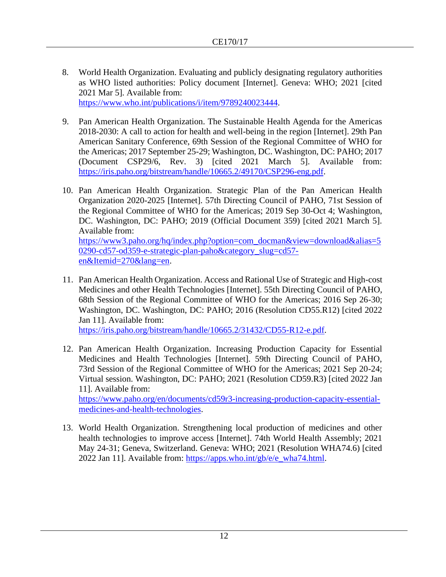- 8. World Health Organization. Evaluating and publicly designating regulatory authorities as WHO listed authorities: Policy document [Internet]. Geneva: WHO; 2021 [cited 2021 Mar 5]. Available from: [https://www.who.int/publications/i/item/9789240023444.](https://www.who.int/publications/i/item/9789240023444)
- 9. Pan American Health Organization. The Sustainable Health Agenda for the Americas 2018-2030: A call to action for health and well-being in the region [Internet]. 29th Pan American Sanitary Conference, 69th Session of the Regional Committee of WHO for the Americas; 2017 September 25-29; Washington, DC. Washington, DC: PAHO; 2017 (Document CSP29/6, Rev. 3) [cited 2021 March 5]. Available from: [https://iris.paho.org/bitstream/handle/10665.2/49170/CSP296-eng.pdf.](https://iris.paho.org/bitstream/handle/10665.2/49170/CSP296-eng.pdf)
- 10. Pan American Health Organization. Strategic Plan of the Pan American Health Organization 2020-2025 [Internet]. 57th Directing Council of PAHO, 71st Session of the Regional Committee of WHO for the Americas; 2019 Sep 30-Oct 4; Washington, DC. Washington, DC: PAHO; 2019 (Official Document 359) [cited 2021 March 5]. Available from: [https://www3.paho.org/hq/index.php?option=com\\_docman&view=download&alias=5](https://www3.paho.org/hq/index.php?option=com_docman&view=download&alias=50290-cd57-od359-e-strategic-plan-paho&category_slug=cd57-en&Itemid=270&lang=en) [0290-cd57-od359-e-strategic-plan-paho&category\\_slug=cd57-](https://www3.paho.org/hq/index.php?option=com_docman&view=download&alias=50290-cd57-od359-e-strategic-plan-paho&category_slug=cd57-en&Itemid=270&lang=en)

[en&Itemid=270&lang=en.](https://www3.paho.org/hq/index.php?option=com_docman&view=download&alias=50290-cd57-od359-e-strategic-plan-paho&category_slug=cd57-en&Itemid=270&lang=en)

11. Pan American Health Organization. Access and Rational Use of Strategic and High-cost Medicines and other Health Technologies [Internet]. 55th Directing Council of PAHO, 68th Session of the Regional Committee of WHO for the Americas; 2016 Sep 26-30; Washington, DC. Washington, DC: PAHO; 2016 (Resolution CD55.R12) [cited 2022 Jan 11]. Available from:

[https://iris.paho.org/bitstream/handle/10665.2/31432/CD55-R12-e.pdf.](https://iris.paho.org/bitstream/handle/10665.2/31432/CD55-R12-e.pdf)

- 12. Pan American Health Organization. Increasing Production Capacity for Essential Medicines and Health Technologies [Internet]. 59th Directing Council of PAHO, 73rd Session of the Regional Committee of WHO for the Americas; 2021 Sep 20-24; Virtual session. Washington, DC: PAHO; 2021 (Resolution CD59.R3) [cited 2022 Jan 11]. Available from: [https://www.paho.org/en/documents/cd59r3-increasing-production-capacity-essential](https://www.paho.org/en/documents/cd59r3-increasing-production-capacity-essential-medicines-and-health-technologies)[medicines-and-health-technologies.](https://www.paho.org/en/documents/cd59r3-increasing-production-capacity-essential-medicines-and-health-technologies)
- 13. World Health Organization. Strengthening local production of medicines and other health technologies to improve access [Internet]. 74th World Health Assembly; 2021 May 24-31; Geneva, Switzerland. Geneva: WHO; 2021 (Resolution WHA74.6) [cited 2022 Jan 11]. Available from: [https://apps.who.int/gb/e/e\\_wha74.html.](https://apps.who.int/gb/e/e_wha74.html)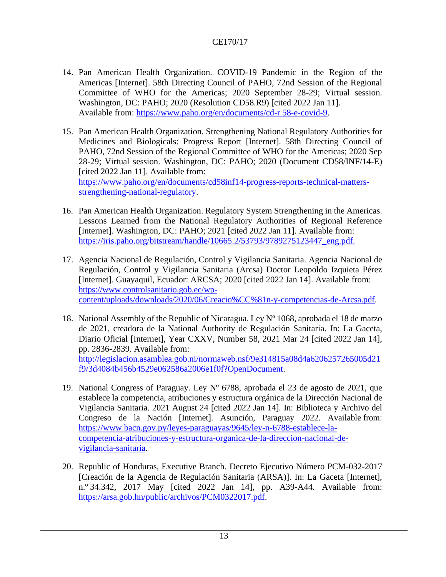- 14. Pan American Health Organization. COVID-19 Pandemic in the Region of the Americas [Internet]. 58th Directing Council of PAHO, 72nd Session of the Regional Committee of WHO for the Americas; 2020 September 28-29; Virtual session. Washington, DC: PAHO; 2020 (Resolution CD58.R9) [cited 2022 Jan 11]. Available from: [https://www.paho.org/en/documents/cd-r 58-e-covid-9.](https://www.paho.org/en/documents/cd-r%2058-e-covid-9)
- 15. Pan American Health Organization. Strengthening National Regulatory Authorities for Medicines and Biologicals: Progress Report [Internet]. 58th Directing Council of PAHO, 72nd Session of the Regional Committee of WHO for the Americas; 2020 Sep 28-29; Virtual session. Washington, DC: PAHO; 2020 (Document CD58/INF/14-E) [cited 2022 Jan 11]. Available from: [https://www.paho.org/en/documents/cd58inf14-progress-reports-technical-matters](https://www.paho.org/en/documents/cd58inf14-progress-reports-technical-matters-strengthening-national-regulatory)[strengthening-national-regulatory.](https://www.paho.org/en/documents/cd58inf14-progress-reports-technical-matters-strengthening-national-regulatory)
- 16. Pan American Health Organization. Regulatory System Strengthening in the Americas. Lessons Learned from the National Regulatory Authorities of Regional Reference [Internet]. Washington, DC: PAHO; 2021 [cited 2022 Jan 11]. Available from: [https://iris.paho.org/bitstream/handle/10665.2/53793/9789275123447\\_eng.pdf.](https://iris.paho.org/bitstream/handle/10665.2/53793/9789275123447_eng.pdf.)
- 17. Agencia Nacional de Regulación, Control y Vigilancia Sanitaria. Agencia Nacional de Regulación, Control y Vigilancia Sanitaria (Arcsa) Doctor Leopoldo Izquieta Pérez [Internet]. Guayaquil, Ecuador: ARCSA; 2020 [cited 2022 Jan 14]. Available from: [https://www.controlsanitario.gob.ec/wp](https://www.controlsanitario.gob.ec/wp-content/uploads/downloads/2020/06/Creacio%CC%81n-y-competencias-de-Arcsa.pdf.)[content/uploads/downloads/2020/06/Creacio%CC%81n-y-competencias-de-Arcsa.pdf.](https://www.controlsanitario.gob.ec/wp-content/uploads/downloads/2020/06/Creacio%CC%81n-y-competencias-de-Arcsa.pdf.)
- 18. National Assembly of the Republic of Nicaragua. Ley  $N^{\circ}$  1068, aprobada el 18 de marzo de 2021, creadora de la National Authority de Regulación Sanitaria. In: La Gaceta, Diario Oficial [Internet], Year CXXV, Number 58, 2021 Mar 24 [cited 2022 Jan 14], pp. 2836-2839. Available from: [http://legislacion.asamblea.gob.ni/normaweb.nsf/9e314815a08d4a6206257265005d21](http://legislacion.asamblea.gob.ni/normaweb.nsf/9e314815a08d4a6206257265005d21f9/3d4084b456b4529e062586a2006e1f0f?OpenDocument.) [f9/3d4084b456b4529e062586a2006e1f0f?OpenDocument.](http://legislacion.asamblea.gob.ni/normaweb.nsf/9e314815a08d4a6206257265005d21f9/3d4084b456b4529e062586a2006e1f0f?OpenDocument.)
- 19. National Congress of Paraguay. Ley Nº 6788, aprobada el 23 de agosto de 2021, que establece la competencia, atribuciones y estructura orgánica de la Dirección Nacional de Vigilancia Sanitaria. 2021 August 24 [cited 2022 Jan 14]. In: Biblioteca y Archivo del Congreso de la Nación [Internet]. Asunción, Paraguay 2022. Available from: [https://www.bacn.gov.py/leyes-paraguayas/9645/ley-n-6788-establece-la](https://www.bacn.gov.py/leyes-paraguayas/9645/ley-n-6788-establece-la-competencia-atribuciones-y-estructura-organica-de-la-direccion-nacional-de-vigilancia-sanitaria)[competencia-atribuciones-y-estructura-organica-de-la-direccion-nacional-de](https://www.bacn.gov.py/leyes-paraguayas/9645/ley-n-6788-establece-la-competencia-atribuciones-y-estructura-organica-de-la-direccion-nacional-de-vigilancia-sanitaria)[vigilancia-sanitaria.](https://www.bacn.gov.py/leyes-paraguayas/9645/ley-n-6788-establece-la-competencia-atribuciones-y-estructura-organica-de-la-direccion-nacional-de-vigilancia-sanitaria)
- 20. Republic of Honduras, Executive Branch. Decreto Ejecutivo Número PCM-032-2017 [Creación de la Agencia de Regulación Sanitaria (ARSA)]. In: La Gaceta [Internet], n.º 34.342, 2017 May [cited 2022 Jan 14], pp. A39-A44. Available from: [https://arsa.gob.hn/public/archivos/PCM0322017.pdf.](https://arsa.gob.hn/public/archivos/PCM0322017.pdf)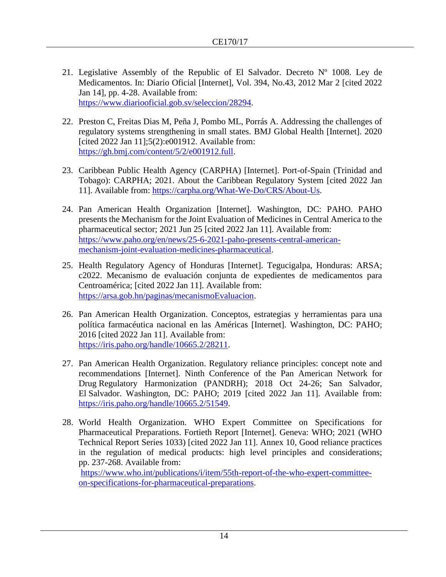- 21. Legislative Assembly of the Republic of El Salvador. Decreto  $N^{\circ}$  1008. Ley de Medicamentos. In: Diario Oficial [Internet], Vol. 394, No.43, 2012 Mar 2 [cited 2022 Jan 14], pp. 4-28. Available from: [https://www.diariooficial.gob.sv/seleccion/28294.](https://www.diariooficial.gob.sv/seleccion/28294)
- 22. Preston C, Freitas Dias M, Peña J, Pombo ML, Porrás A. Addressing the challenges of regulatory systems strengthening in small states. BMJ Global Health [Internet]. 2020 [cited 2022 Jan  $11$ ]; $5(2)$ :e001912. Available from: [https://gh.bmj.com/content/5/2/e001912.full.](https://gh.bmj.com/content/5/2/e001912.full)
- 23. Caribbean Public Health Agency (CARPHA) [Internet]. Port-of-Spain (Trinidad and Tobago): CARPHA; 2021. About the Caribbean Regulatory System [cited 2022 Jan 11]. Available from: [https://carpha.org/What-We-Do/CRS/About-Us.](https://carpha.org/What-We-Do/CRS/About-Us)
- 24. Pan American Health Organization [Internet]. Washington, DC: PAHO. PAHO presents the Mechanism for the Joint Evaluation of Medicines in Central America to the pharmaceutical sector; 2021 Jun 25 [cited 2022 Jan 11]. Available from: [https://www.paho.org/en/news/25-6-2021-paho-presents-central-american](https://www.paho.org/en/news/25-6-2021-paho-presents-central-american-mechanism-joint-evaluation-medicines-pharmaceutical)[mechanism-joint-evaluation-medicines-pharmaceutical.](https://www.paho.org/en/news/25-6-2021-paho-presents-central-american-mechanism-joint-evaluation-medicines-pharmaceutical)
- 25. Health Regulatory Agency of Honduras [Internet]. Tegucigalpa, Honduras: ARSA; c2022. Mecanismo de evaluación conjunta de expedientes de medicamentos para Centroamérica; [cited 2022 Jan 11]. Available from: [https://arsa.gob.hn/paginas/mecanismoEvaluacion.](https://arsa.gob.hn/paginas/mecanismoEvaluacion)
- 26. Pan American Health Organization. Conceptos, estrategias y herramientas para una política farmacéutica nacional en las Américas [Internet]. Washington, DC: PAHO; 2016 [cited 2022 Jan 11]. Available from: [https://iris.paho.org/handle/10665.2/28211.](https://iris.paho.org/handle/10665.2/28211)
- 27. Pan American Health Organization. Regulatory reliance principles: concept note and recommendations [Internet]. Ninth Conference of the Pan American Network for Drug Regulatory Harmonization (PANDRH); 2018 Oct 24-26; San Salvador, El Salvador. Washington, DC: PAHO; 2019 [cited 2022 Jan 11]. Available from: [https://iris.paho.org/handle/10665.2/51549.](https://iris.paho.org/handle/10665.2/51549)
- 28. World Health Organization. WHO Expert Committee on Specifications for Pharmaceutical Preparations. Fortieth Report [Internet]. Geneva: WHO; 2021 (WHO Technical Report Series 1033) [cited 2022 Jan 11]. Annex 10, Good reliance practices in the regulation of medical products: high level principles and considerations; pp. 237-268. Available from:

[https://www.who.int/publications/i/item/55th-report-of-the-who-expert-committee](https://www.who.int/publications/i/item/55th-report-of-the-who-expert-committee-on-specifications-for-pharmaceutical-preparations)[on-specifications-for-pharmaceutical-preparations.](https://www.who.int/publications/i/item/55th-report-of-the-who-expert-committee-on-specifications-for-pharmaceutical-preparations)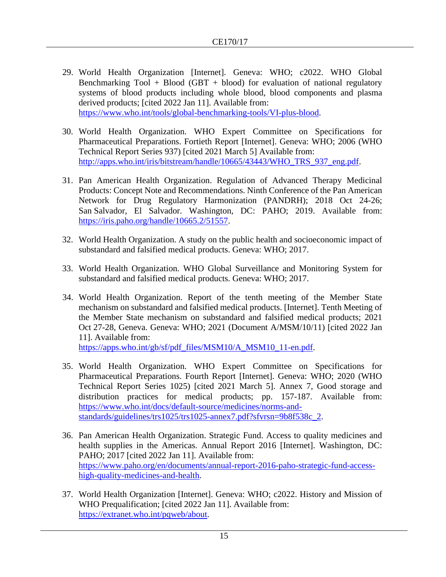- 29. World Health Organization [Internet]. Geneva: WHO; c2022. WHO Global Benchmarking  $Tool + Blood (GBT + blood)$  for evaluation of national regulatory systems of blood products including whole blood, blood components and plasma derived products; [cited 2022 Jan 11]. Available from: [https://www.who.int/tools/global-benchmarking-tools/VI-plus-blood.](https://www.who.int/tools/global-benchmarking-tools/VI-plus-blood)
- 30. World Health Organization. WHO Expert Committee on Specifications for Pharmaceutical Preparations. Fortieth Report [Internet]. Geneva: WHO; 2006 (WHO Technical Report Series 937) [cited 2021 March 5] Available from: [http://apps.who.int/iris/bitstream/handle/10665/43443/WHO\\_TRS\\_937\\_eng.pdf.](http://apps.who.int/iris/bitstream/handle/10665/43443/WHO_TRS_937_eng.pdf)
- 31. Pan American Health Organization. Regulation of Advanced Therapy Medicinal Products: Concept Note and Recommendations. Ninth Conference of the Pan American Network for Drug Regulatory Harmonization (PANDRH); 2018 Oct 24-26; San Salvador, El Salvador. Washington, DC: PAHO; 2019. Available from: https://iris.paho.org/handle/10665.2/51557.
- 32. World Health Organization. A study on the public health and socioeconomic impact of substandard and falsified medical products. Geneva: WHO; 2017.
- 33. World Health Organization. WHO Global Surveillance and Monitoring System for substandard and falsified medical products. Geneva: WHO; 2017.
- 34. World Health Organization. Report of the tenth meeting of the Member State mechanism on substandard and falsified medical products. [Internet]. Tenth Meeting of the Member State mechanism on substandard and falsified medical products; 2021 Oct 27-28, Geneva. Geneva: WHO; 2021 (Document A/MSM/10/11) [cited 2022 Jan 11]. Available from:

[https://apps.who.int/gb/sf/pdf\\_files/MSM10/A\\_MSM10\\_11-en.pdf.](https://apps.who.int/gb/sf/pdf_files/MSM10/A_MSM10_11-en.pdf)

- 35. World Health Organization. WHO Expert Committee on Specifications for Pharmaceutical Preparations. Fourth Report [Internet]. Geneva: WHO; 2020 (WHO Technical Report Series 1025) [cited 2021 March 5]. Annex 7, Good storage and distribution practices for medical products; pp. 157-187. Available from: [https://www.who.int/docs/default-source/medicines/norms-and](https://www.who.int/docs/default-source/medicines/norms-and-standards/guidelines/trs1025/trs1025-annex7.pdf?sfvrsn=9b8f538c_2)[standards/guidelines/trs1025/trs1025-annex7.pdf?sfvrsn=9b8f538c\\_2.](https://www.who.int/docs/default-source/medicines/norms-and-standards/guidelines/trs1025/trs1025-annex7.pdf?sfvrsn=9b8f538c_2)
- 36. Pan American Health Organization. Strategic Fund. Access to quality medicines and health supplies in the Americas. Annual Report 2016 [Internet]. Washington, DC: PAHO; 2017 [cited 2022 Jan 11]. Available from: [https://www.paho.org/en/documents/annual-report-2016-paho-strategic-fund-access](https://www.paho.org/en/documents/annual-report-2016-paho-strategic-fund-access-high-quality-medicines-and-health)[high-quality-medicines-and-health.](https://www.paho.org/en/documents/annual-report-2016-paho-strategic-fund-access-high-quality-medicines-and-health)
- 37. World Health Organization [Internet]. Geneva: WHO; c2022. History and Mission of WHO Prequalification; [cited 2022 Jan 11]. Available from: [https://extranet.who.int/pqweb/about.](https://extranet.who.int/pqweb/about)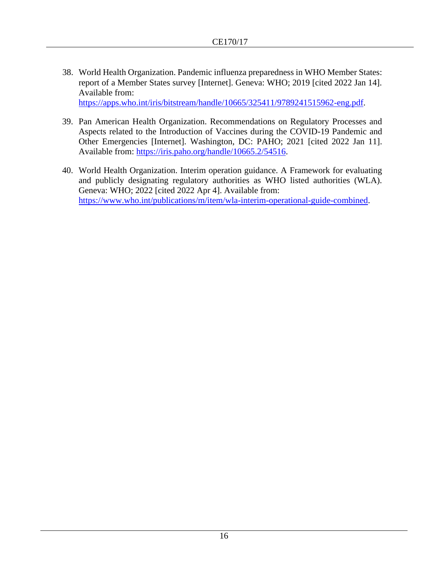38. World Health Organization. Pandemic influenza preparedness in WHO Member States: report of a Member States survey [Internet]. Geneva: WHO; 2019 [cited 2022 Jan 14]. Available from:

[https://apps.who.int/iris/bitstream/handle/10665/325411/9789241515962-eng.pdf.](https://apps.who.int/iris/bitstream/handle/10665/325411/9789241515962-eng.pdf)

- 39. Pan American Health Organization. Recommendations on Regulatory Processes and Aspects related to the Introduction of Vaccines during the COVID-19 Pandemic and Other Emergencies [Internet]. Washington, DC: PAHO; 2021 [cited 2022 Jan 11]. Available from: [https://iris.paho.org/handle/10665.2/54516.](https://iris.paho.org/handle/10665.2/54516)
- 40. World Health Organization. Interim operation guidance. A Framework for evaluating and publicly designating regulatory authorities as WHO listed authorities (WLA). Geneva: WHO; 2022 [cited 2022 Apr 4]. Available from: [https://www.who.int/publications/m/item/wla-interim-operational-guide-combined.](https://www.who.int/publications/m/item/wla-interim-operational-guide-combined)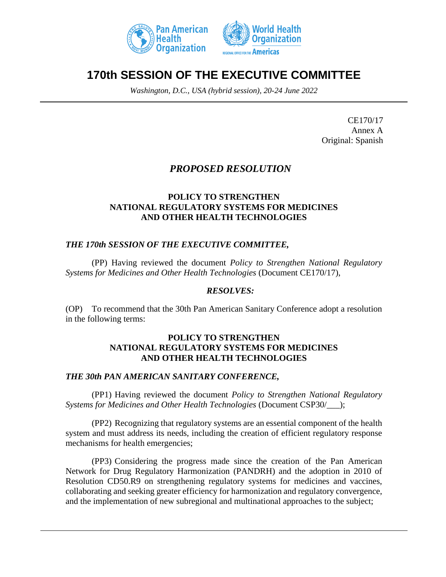



## **170th SESSION OF THE EXECUTIVE COMMITTEE**

*Washington, D.C., USA (hybrid session), 20-24 June 2022*

CE170/17 Annex A Original: Spanish

## *PROPOSED RESOLUTION*

#### **POLICY TO STRENGTHEN NATIONAL REGULATORY SYSTEMS FOR MEDICINES AND OTHER HEALTH TECHNOLOGIES**

### *THE 170th SESSION OF THE EXECUTIVE COMMITTEE,*

(PP) Having reviewed the document *Policy to Strengthen National Regulatory Systems for Medicines and Other Health Technologies* (Document CE170/17),

#### *RESOLVES:*

(OP) To recommend that the 30th Pan American Sanitary Conference adopt a resolution in the following terms:

#### **POLICY TO STRENGTHEN NATIONAL REGULATORY SYSTEMS FOR MEDICINES AND OTHER HEALTH TECHNOLOGIES**

#### *THE 30th PAN AMERICAN SANITARY CONFERENCE,*

(PP1) Having reviewed the document *Policy to Strengthen National Regulatory Systems for Medicines and Other Health Technologies* (Document CSP30/\_\_\_);

(PP2) Recognizing that regulatory systems are an essential component of the health system and must address its needs, including the creation of efficient regulatory response mechanisms for health emergencies;

(PP3) Considering the progress made since the creation of the Pan American Network for Drug Regulatory Harmonization (PANDRH) and the adoption in 2010 of Resolution CD50.R9 on strengthening regulatory systems for medicines and vaccines, collaborating and seeking greater efficiency for harmonization and regulatory convergence, and the implementation of new subregional and multinational approaches to the subject;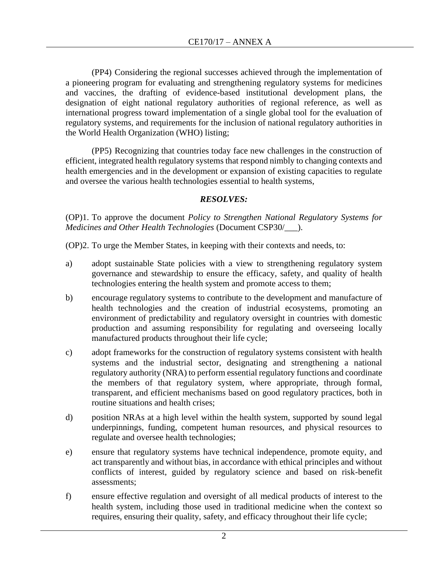(PP4) Considering the regional successes achieved through the implementation of a pioneering program for evaluating and strengthening regulatory systems for medicines and vaccines, the drafting of evidence-based institutional development plans, the designation of eight national regulatory authorities of regional reference, as well as international progress toward implementation of a single global tool for the evaluation of regulatory systems, and requirements for the inclusion of national regulatory authorities in the World Health Organization (WHO) listing;

(PP5) Recognizing that countries today face new challenges in the construction of efficient, integrated health regulatory systems that respond nimbly to changing contexts and health emergencies and in the development or expansion of existing capacities to regulate and oversee the various health technologies essential to health systems,

### *RESOLVES:*

(OP)1. To approve the document *Policy to Strengthen National Regulatory Systems for Medicines and Other Health Technologies* (Document CSP30/\_\_\_).

(OP)2. To urge the Member States, in keeping with their contexts and needs, to:

- a) adopt sustainable State policies with a view to strengthening regulatory system governance and stewardship to ensure the efficacy, safety, and quality of health technologies entering the health system and promote access to them;
- b) encourage regulatory systems to contribute to the development and manufacture of health technologies and the creation of industrial ecosystems, promoting an environment of predictability and regulatory oversight in countries with domestic production and assuming responsibility for regulating and overseeing locally manufactured products throughout their life cycle;
- c) adopt frameworks for the construction of regulatory systems consistent with health systems and the industrial sector, designating and strengthening a national regulatory authority (NRA) to perform essential regulatory functions and coordinate the members of that regulatory system, where appropriate, through formal, transparent, and efficient mechanisms based on good regulatory practices, both in routine situations and health crises;
- d) position NRAs at a high level within the health system, supported by sound legal underpinnings, funding, competent human resources, and physical resources to regulate and oversee health technologies;
- e) ensure that regulatory systems have technical independence, promote equity, and act transparently and without bias, in accordance with ethical principles and without conflicts of interest, guided by regulatory science and based on risk-benefit assessments;
- f) ensure effective regulation and oversight of all medical products of interest to the health system, including those used in traditional medicine when the context so requires, ensuring their quality, safety, and efficacy throughout their life cycle;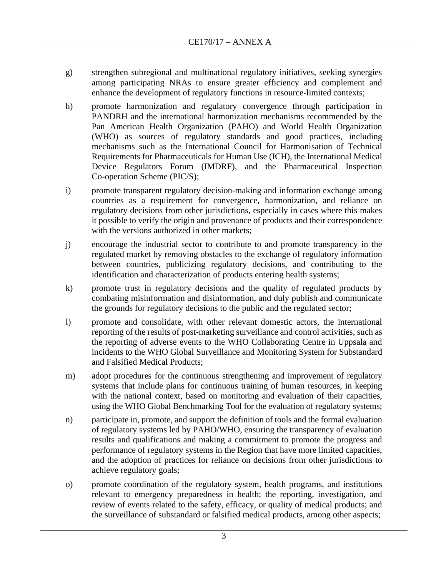- g) strengthen subregional and multinational regulatory initiatives, seeking synergies among participating NRAs to ensure greater efficiency and complement and enhance the development of regulatory functions in resource-limited contexts;
- h) promote harmonization and regulatory convergence through participation in PANDRH and the international harmonization mechanisms recommended by the Pan American Health Organization (PAHO) and World Health Organization (WHO) as sources of regulatory standards and good practices, including mechanisms such as the International Council for Harmonisation of Technical Requirements for Pharmaceuticals for Human Use (ICH), the International Medical Device Regulators Forum (IMDRF), and the Pharmaceutical Inspection Co-operation Scheme (PIC/S);
- i) promote transparent regulatory decision-making and information exchange among countries as a requirement for convergence, harmonization, and reliance on regulatory decisions from other jurisdictions, especially in cases where this makes it possible to verify the origin and provenance of products and their correspondence with the versions authorized in other markets:
- j) encourage the industrial sector to contribute to and promote transparency in the regulated market by removing obstacles to the exchange of regulatory information between countries, publicizing regulatory decisions, and contributing to the identification and characterization of products entering health systems;
- k) promote trust in regulatory decisions and the quality of regulated products by combating misinformation and disinformation, and duly publish and communicate the grounds for regulatory decisions to the public and the regulated sector;
- l) promote and consolidate, with other relevant domestic actors, the international reporting of the results of post-marketing surveillance and control activities, such as the reporting of adverse events to the WHO Collaborating Centre in Uppsala and incidents to the WHO Global Surveillance and Monitoring System for Substandard and Falsified Medical Products;
- m) adopt procedures for the continuous strengthening and improvement of regulatory systems that include plans for continuous training of human resources, in keeping with the national context, based on monitoring and evaluation of their capacities, using the WHO Global Benchmarking Tool for the evaluation of regulatory systems;
- n) participate in, promote, and support the definition of tools and the formal evaluation of regulatory systems led by PAHO/WHO, ensuring the transparency of evaluation results and qualifications and making a commitment to promote the progress and performance of regulatory systems in the Region that have more limited capacities, and the adoption of practices for reliance on decisions from other jurisdictions to achieve regulatory goals;
- o) promote coordination of the regulatory system, health programs, and institutions relevant to emergency preparedness in health; the reporting, investigation, and review of events related to the safety, efficacy, or quality of medical products; and the surveillance of substandard or falsified medical products, among other aspects;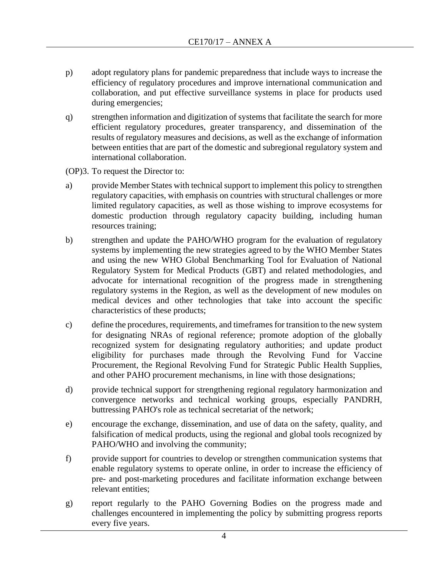- p) adopt regulatory plans for pandemic preparedness that include ways to increase the efficiency of regulatory procedures and improve international communication and collaboration, and put effective surveillance systems in place for products used during emergencies;
- q) strengthen information and digitization of systems that facilitate the search for more efficient regulatory procedures, greater transparency, and dissemination of the results of regulatory measures and decisions, as well as the exchange of information between entities that are part of the domestic and subregional regulatory system and international collaboration.
- (OP)3. To request the Director to:
- a) provide Member States with technical support to implement this policy to strengthen regulatory capacities, with emphasis on countries with structural challenges or more limited regulatory capacities, as well as those wishing to improve ecosystems for domestic production through regulatory capacity building, including human resources training;
- b) strengthen and update the PAHO/WHO program for the evaluation of regulatory systems by implementing the new strategies agreed to by the WHO Member States and using the new WHO Global Benchmarking Tool for Evaluation of National Regulatory System for Medical Products (GBT) and related methodologies, and advocate for international recognition of the progress made in strengthening regulatory systems in the Region, as well as the development of new modules on medical devices and other technologies that take into account the specific characteristics of these products;
- c) define the procedures, requirements, and timeframes for transition to the new system for designating NRAs of regional reference; promote adoption of the globally recognized system for designating regulatory authorities; and update product eligibility for purchases made through the Revolving Fund for Vaccine Procurement, the Regional Revolving Fund for Strategic Public Health Supplies, and other PAHO procurement mechanisms, in line with those designations;
- d) provide technical support for strengthening regional regulatory harmonization and convergence networks and technical working groups, especially PANDRH, buttressing PAHO's role as technical secretariat of the network;
- e) encourage the exchange, dissemination, and use of data on the safety, quality, and falsification of medical products, using the regional and global tools recognized by PAHO/WHO and involving the community;
- f) provide support for countries to develop or strengthen communication systems that enable regulatory systems to operate online, in order to increase the efficiency of pre- and post-marketing procedures and facilitate information exchange between relevant entities;
- g) report regularly to the PAHO Governing Bodies on the progress made and challenges encountered in implementing the policy by submitting progress reports every five years.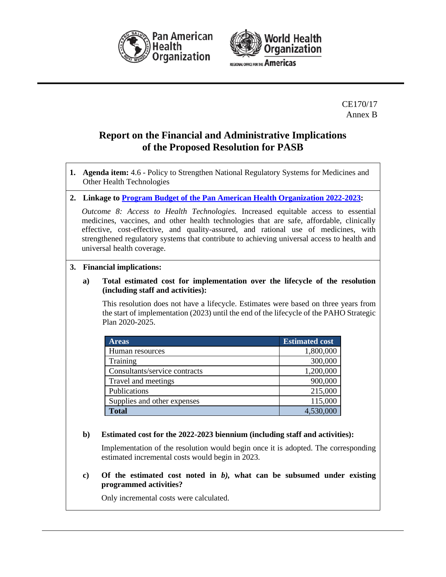



CE170/17 Annex B

## **Report on the Financial and Administrative Implications of the Proposed Resolution for PASB**

- **1. Agenda item:** 4.6 Policy to Strengthen National Regulatory Systems for Medicines and Other Health Technologies
- **2. Linkage to [Program Budget of the Pan American Health Organization 2022-2023:](https://www.paho.org/en/documents/cd59od363-program-budget-pan-american-health-organization-2022-2023)**

*Outcome 8: Access to Health Technologies.* Increased equitable access to essential medicines, vaccines, and other health technologies that are safe, affordable, clinically effective, cost-effective, and quality-assured, and rational use of medicines, with strengthened regulatory systems that contribute to achieving universal access to health and universal health coverage.

#### **3. Financial implications:**

#### **a) Total estimated cost for implementation over the lifecycle of the resolution (including staff and activities):**

This resolution does not have a lifecycle. Estimates were based on three years from the start of implementation (2023) until the end of the lifecycle of the PAHO Strategic Plan 2020-2025.

| <b>Areas</b>                  | <b>Estimated cost</b> |
|-------------------------------|-----------------------|
| Human resources               | 1,800,000             |
| Training                      | 300,000               |
| Consultants/service contracts | 1,200,000             |
| Travel and meetings           | 900,000               |
| Publications                  | 215,000               |
| Supplies and other expenses   | 115,000               |
| <b>Total</b>                  | 4,530,000             |

#### **b) Estimated cost for the 2022-2023 biennium (including staff and activities):**

Implementation of the resolution would begin once it is adopted. The corresponding estimated incremental costs would begin in 2023.

**c) Of the estimated cost noted in** *b),* **what can be subsumed under existing programmed activities?** 

Only incremental costs were calculated.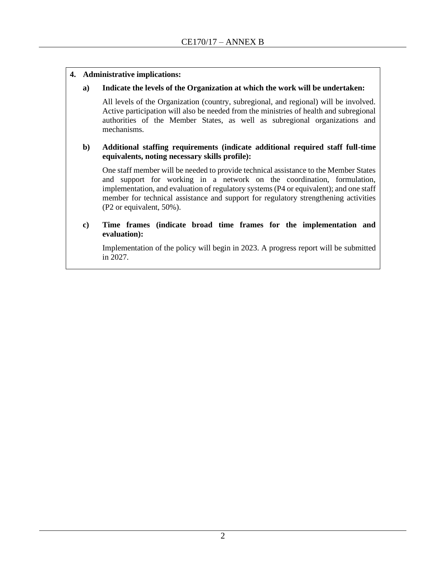#### **4. Administrative implications:**

#### **a) Indicate the levels of the Organization at which the work will be undertaken:**

All levels of the Organization (country, subregional, and regional) will be involved. Active participation will also be needed from the ministries of health and subregional authorities of the Member States, as well as subregional organizations and mechanisms.

#### **b) Additional staffing requirements (indicate additional required staff full-time equivalents, noting necessary skills profile):**

One staff member will be needed to provide technical assistance to the Member States and support for working in a network on the coordination, formulation, implementation, and evaluation of regulatory systems (P4 or equivalent); and one staff member for technical assistance and support for regulatory strengthening activities (P2 or equivalent, 50%).

#### **c) Time frames (indicate broad time frames for the implementation and evaluation):**

Implementation of the policy will begin in 2023. A progress report will be submitted in 2027.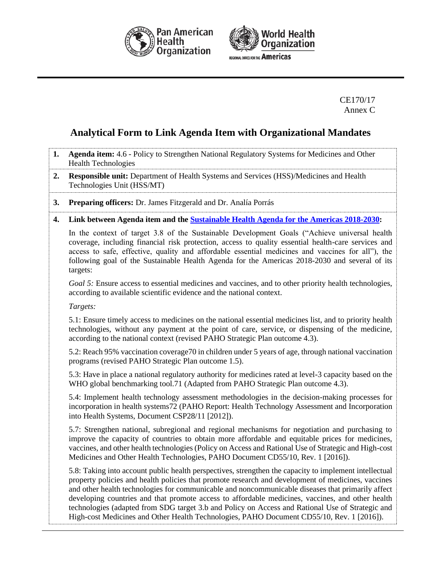



CE170/17 Annex C

## **Analytical Form to Link Agenda Item with Organizational Mandates**

- **1. Agenda item:** 4.6 Policy to Strengthen National Regulatory Systems for Medicines and Other Health Technologies
- **2. Responsible unit:** Department of Health Systems and Services (HSS)/Medicines and Health Technologies Unit (HSS/MT)
- **3. Preparing officers:** Dr. James Fitzgerald and Dr. Analía Porrás

#### **4. Link between Agenda item and the [Sustainable Health Agenda for the Americas 2018-2030:](https://iris.paho.org/bitstream/handle/10665.2/49170/CSP296-eng.pdf?sequence=1&isAllowed=y)**

In the context of target 3.8 of the Sustainable Development Goals ("Achieve universal health coverage, including financial risk protection, access to quality essential health-care services and access to safe, effective, quality and affordable essential medicines and vaccines for all"), the following goal of the Sustainable Health Agenda for the Americas 2018-2030 and several of its targets:

*Goal 5:* Ensure access to essential medicines and vaccines, and to other priority health technologies, according to available scientific evidence and the national context.

*Targets:*

5.1: Ensure timely access to medicines on the national essential medicines list, and to priority health technologies, without any payment at the point of care, service, or dispensing of the medicine, according to the national context (revised PAHO Strategic Plan outcome 4.3).

5.2: Reach 95% vaccination coverage70 in children under 5 years of age, through national vaccination programs (revised PAHO Strategic Plan outcome 1.5).

5.3: Have in place a national regulatory authority for medicines rated at level-3 capacity based on the WHO global benchmarking tool.71 (Adapted from PAHO Strategic Plan outcome 4.3).

5.4: Implement health technology assessment methodologies in the decision-making processes for incorporation in health systems72 (PAHO Report: Health Technology Assessment and Incorporation into Health Systems, Document CSP28/11 [2012]).

5.7: Strengthen national, subregional and regional mechanisms for negotiation and purchasing to improve the capacity of countries to obtain more affordable and equitable prices for medicines, vaccines, and other health technologies (Policy on Access and Rational Use of Strategic and High-cost Medicines and Other Health Technologies, PAHO Document CD55/10, Rev. 1 [2016]).

5.8: Taking into account public health perspectives, strengthen the capacity to implement intellectual property policies and health policies that promote research and development of medicines, vaccines and other health technologies for communicable and noncommunicable diseases that primarily affect developing countries and that promote access to affordable medicines, vaccines, and other health technologies (adapted from SDG target 3.b and Policy on Access and Rational Use of Strategic and High-cost Medicines and Other Health Technologies, PAHO Document CD55/10, Rev. 1 [2016]).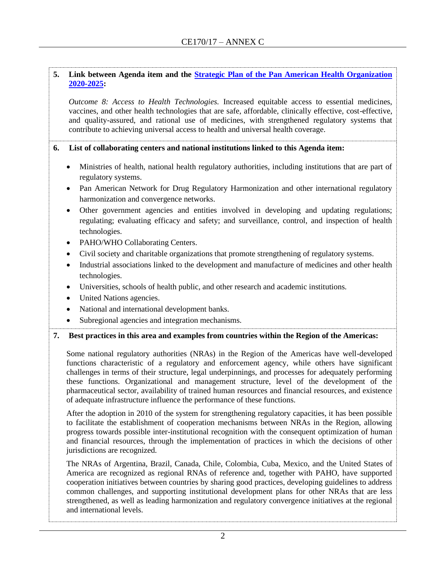#### **5. Link between Agenda item and the [Strategic Plan of the Pan American Health Organization](https://www.paho.org/hq/index.php?option=com_docman&view=document&alias=50290-cd57-od359-e-strategic-plan-paho&category_slug=cd57-en&Itemid=270&lang=en)  [2020-2025:](https://www.paho.org/hq/index.php?option=com_docman&view=document&alias=50290-cd57-od359-e-strategic-plan-paho&category_slug=cd57-en&Itemid=270&lang=en)**

*Outcome 8: Access to Health Technologies.* Increased equitable access to essential medicines, vaccines, and other health technologies that are safe, affordable, clinically effective, cost-effective, and quality-assured, and rational use of medicines, with strengthened regulatory systems that contribute to achieving universal access to health and universal health coverage.

**6. List of collaborating centers and national institutions linked to this Agenda item:**

- Ministries of health, national health regulatory authorities, including institutions that are part of regulatory systems.
- Pan American Network for Drug Regulatory Harmonization and other international regulatory harmonization and convergence networks.
- Other government agencies and entities involved in developing and updating regulations; regulating; evaluating efficacy and safety; and surveillance, control, and inspection of health technologies.
- PAHO/WHO Collaborating Centers.
- Civil society and charitable organizations that promote strengthening of regulatory systems.
- Industrial associations linked to the development and manufacture of medicines and other health technologies.
- Universities, schools of health public, and other research and academic institutions.
- United Nations agencies.
- National and international development banks.
- Subregional agencies and integration mechanisms.

#### **7. Best practices in this area and examples from countries within the Region of the Americas:**

Some national regulatory authorities (NRAs) in the Region of the Americas have well-developed functions characteristic of a regulatory and enforcement agency, while others have significant challenges in terms of their structure, legal underpinnings, and processes for adequately performing these functions. Organizational and management structure, level of the development of the pharmaceutical sector, availability of trained human resources and financial resources, and existence of adequate infrastructure influence the performance of these functions.

After the adoption in 2010 of the system for strengthening regulatory capacities, it has been possible to facilitate the establishment of cooperation mechanisms between NRAs in the Region, allowing progress towards possible inter-institutional recognition with the consequent optimization of human and financial resources, through the implementation of practices in which the decisions of other jurisdictions are recognized.

The NRAs of Argentina, Brazil, Canada, Chile, Colombia, Cuba, Mexico, and the United States of America are recognized as regional RNAs of reference and, together with PAHO, have supported cooperation initiatives between countries by sharing good practices, developing guidelines to address common challenges, and supporting institutional development plans for other NRAs that are less strengthened, as well as leading harmonization and regulatory convergence initiatives at the regional and international levels.